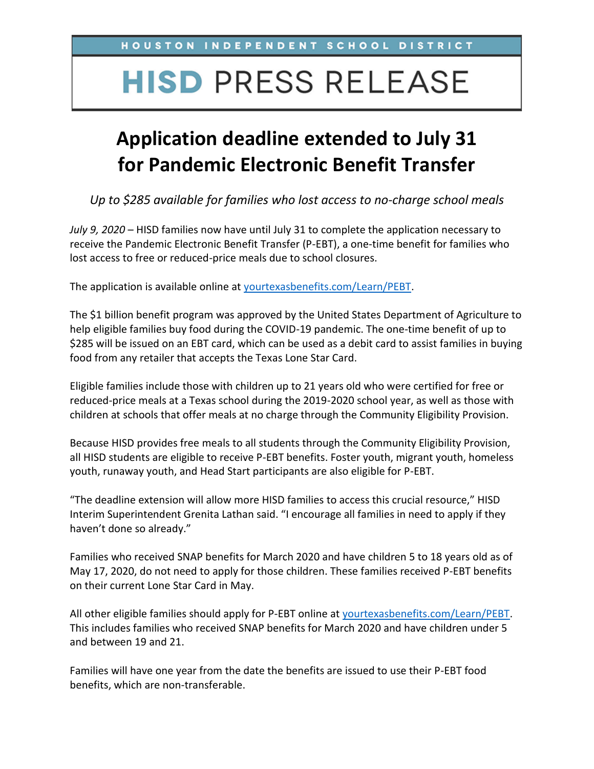## **HISD PRESS RELEASE**

## **Application deadline extended to July 31 for Pandemic Electronic Benefit Transfer**

*Up to \$285 available for families who lost access to no-charge school meals*

*July 9, 2020* – HISD families now have until July 31 to complete the application necessary to receive the Pandemic Electronic Benefit Transfer (P-EBT), a one-time benefit for families who lost access to free or reduced-price meals due to school closures.

The application is available online at [yourtexasbenefits.com/Learn/PEBT.](https://yourtexasbenefits.com/Learn/PEBT)

The \$1 billion benefit program was approved by the United States Department of Agriculture to help eligible families buy food during the COVID-19 pandemic. The one-time benefit of up to \$285 will be issued on an EBT card, which can be used as a debit card to assist families in buying food from any retailer that accepts the Texas Lone Star Card.

Eligible families include those with children up to 21 years old who were certified for free or reduced-price meals at a Texas school during the 2019-2020 school year, as well as those with children at schools that offer meals at no charge through the Community Eligibility Provision.

Because HISD provides free meals to all students through the Community Eligibility Provision, all HISD students are eligible to receive P-EBT benefits. Foster youth, migrant youth, homeless youth, runaway youth, and Head Start participants are also eligible for P-EBT.

"The deadline extension will allow more HISD families to access this crucial resource," HISD Interim Superintendent Grenita Lathan said. "I encourage all families in need to apply if they haven't done so already."

Families who received SNAP benefits for March 2020 and have children 5 to 18 years old as of May 17, 2020, do not need to apply for those children. These families received P-EBT benefits on their current Lone Star Card in May.

All other eligible families should apply for P-EBT online at [yourtexasbenefits.com/Learn/PEBT.](https://yourtexasbenefits.com/Learn/PEBT) This includes families who received SNAP benefits for March 2020 and have children under 5 and between 19 and 21.

Families will have one year from the date the benefits are issued to use their P-EBT food benefits, which are non-transferable.